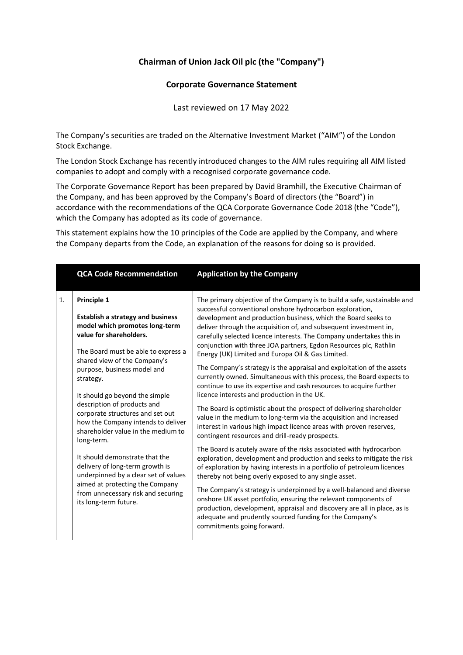# **Chairman of Union Jack Oil plc (the "Company")**

# **Corporate Governance Statement**

Last reviewed on 17 May 2022

The Company's securities are traded on the Alternative Investment Market ("AIM") of the London Stock Exchange.

The London Stock Exchange has recently introduced changes to the AIM rules requiring all AIM listed companies to adopt and comply with a recognised corporate governance code.

The Corporate Governance Report has been prepared by David Bramhill, the Executive Chairman of the Company, and has been approved by the Company's Board of directors (the "Board") in accordance with the recommendations of the QCA Corporate Governance Code 2018 (the "Code"), which the Company has adopted as its code of governance.

This statement explains how the 10 principles of the Code are applied by the Company, and where the Company departs from the Code, an explanation of the reasons for doing so is provided.

|    | <b>QCA Code Recommendation</b>                                                                                                                                                                                                                                                                                                                                                                                                         | <b>Application by the Company</b>                                                                                                                                                                                                                                                                                                                                                                                                                                                                                                                      |
|----|----------------------------------------------------------------------------------------------------------------------------------------------------------------------------------------------------------------------------------------------------------------------------------------------------------------------------------------------------------------------------------------------------------------------------------------|--------------------------------------------------------------------------------------------------------------------------------------------------------------------------------------------------------------------------------------------------------------------------------------------------------------------------------------------------------------------------------------------------------------------------------------------------------------------------------------------------------------------------------------------------------|
| 1. | Principle 1<br><b>Establish a strategy and business</b><br>model which promotes long-term<br>value for shareholders.<br>The Board must be able to express a<br>shared view of the Company's<br>purpose, business model and<br>strategy.<br>It should go beyond the simple<br>description of products and<br>corporate structures and set out<br>how the Company intends to deliver<br>shareholder value in the medium to<br>long-term. | The primary objective of the Company is to build a safe, sustainable and<br>successful conventional onshore hydrocarbon exploration,<br>development and production business, which the Board seeks to<br>deliver through the acquisition of, and subsequent investment in,<br>carefully selected licence interests. The Company undertakes this in<br>conjunction with three JOA partners, Egdon Resources plc, Rathlin<br>Energy (UK) Limited and Europa Oil & Gas Limited.<br>The Company's strategy is the appraisal and exploitation of the assets |
|    |                                                                                                                                                                                                                                                                                                                                                                                                                                        | currently owned. Simultaneous with this process, the Board expects to<br>continue to use its expertise and cash resources to acquire further<br>licence interests and production in the UK.<br>The Board is optimistic about the prospect of delivering shareholder                                                                                                                                                                                                                                                                                    |
|    |                                                                                                                                                                                                                                                                                                                                                                                                                                        | value in the medium to long-term via the acquisition and increased<br>interest in various high impact licence areas with proven reserves,<br>contingent resources and drill-ready prospects.                                                                                                                                                                                                                                                                                                                                                           |
|    | It should demonstrate that the<br>delivery of long-term growth is<br>underpinned by a clear set of values<br>aimed at protecting the Company<br>from unnecessary risk and securing<br>its long-term future.                                                                                                                                                                                                                            | The Board is acutely aware of the risks associated with hydrocarbon<br>exploration, development and production and seeks to mitigate the risk<br>of exploration by having interests in a portfolio of petroleum licences<br>thereby not being overly exposed to any single asset.                                                                                                                                                                                                                                                                      |
|    |                                                                                                                                                                                                                                                                                                                                                                                                                                        | The Company's strategy is underpinned by a well-balanced and diverse<br>onshore UK asset portfolio, ensuring the relevant components of<br>production, development, appraisal and discovery are all in place, as is<br>adequate and prudently sourced funding for the Company's<br>commitments going forward.                                                                                                                                                                                                                                          |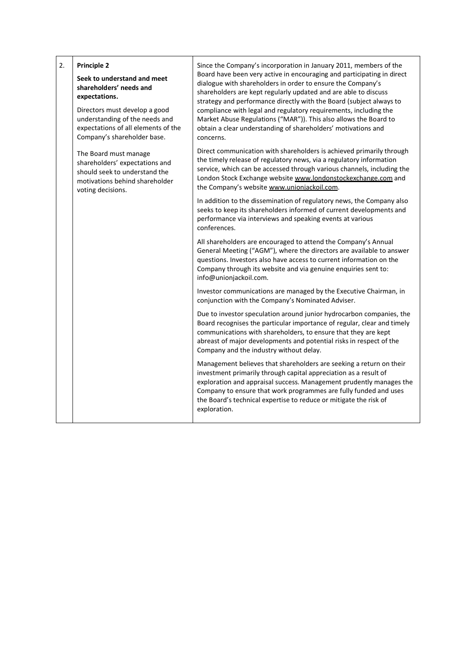| 2. | <b>Principle 2</b>                                                                                                                                                                                               | Since the Company's incorporation in January 2011, members of the                                                                                                                                                                                                                                                                                                                                                                                                                                     |
|----|------------------------------------------------------------------------------------------------------------------------------------------------------------------------------------------------------------------|-------------------------------------------------------------------------------------------------------------------------------------------------------------------------------------------------------------------------------------------------------------------------------------------------------------------------------------------------------------------------------------------------------------------------------------------------------------------------------------------------------|
|    | Seek to understand and meet<br>shareholders' needs and<br>expectations.<br>Directors must develop a good<br>understanding of the needs and<br>expectations of all elements of the<br>Company's shareholder base. | Board have been very active in encouraging and participating in direct<br>dialogue with shareholders in order to ensure the Company's<br>shareholders are kept regularly updated and are able to discuss<br>strategy and performance directly with the Board (subject always to<br>compliance with legal and regulatory requirements, including the<br>Market Abuse Regulations ("MAR")). This also allows the Board to<br>obtain a clear understanding of shareholders' motivations and<br>concerns. |
|    | The Board must manage<br>shareholders' expectations and<br>should seek to understand the<br>motivations behind shareholder<br>voting decisions.                                                                  | Direct communication with shareholders is achieved primarily through<br>the timely release of regulatory news, via a regulatory information<br>service, which can be accessed through various channels, including the<br>London Stock Exchange website www.londonstockexchange.com and<br>the Company's website www.unionjackoil.com.                                                                                                                                                                 |
|    |                                                                                                                                                                                                                  | In addition to the dissemination of regulatory news, the Company also<br>seeks to keep its shareholders informed of current developments and<br>performance via interviews and speaking events at various<br>conferences.                                                                                                                                                                                                                                                                             |
|    |                                                                                                                                                                                                                  | All shareholders are encouraged to attend the Company's Annual<br>General Meeting ("AGM"), where the directors are available to answer<br>questions. Investors also have access to current information on the<br>Company through its website and via genuine enquiries sent to:<br>info@unionjackoil.com.                                                                                                                                                                                             |
|    |                                                                                                                                                                                                                  | Investor communications are managed by the Executive Chairman, in<br>conjunction with the Company's Nominated Adviser.                                                                                                                                                                                                                                                                                                                                                                                |
|    |                                                                                                                                                                                                                  | Due to investor speculation around junior hydrocarbon companies, the<br>Board recognises the particular importance of regular, clear and timely<br>communications with shareholders, to ensure that they are kept<br>abreast of major developments and potential risks in respect of the<br>Company and the industry without delay.                                                                                                                                                                   |
|    |                                                                                                                                                                                                                  | Management believes that shareholders are seeking a return on their<br>investment primarily through capital appreciation as a result of<br>exploration and appraisal success. Management prudently manages the<br>Company to ensure that work programmes are fully funded and uses<br>the Board's technical expertise to reduce or mitigate the risk of<br>exploration.                                                                                                                               |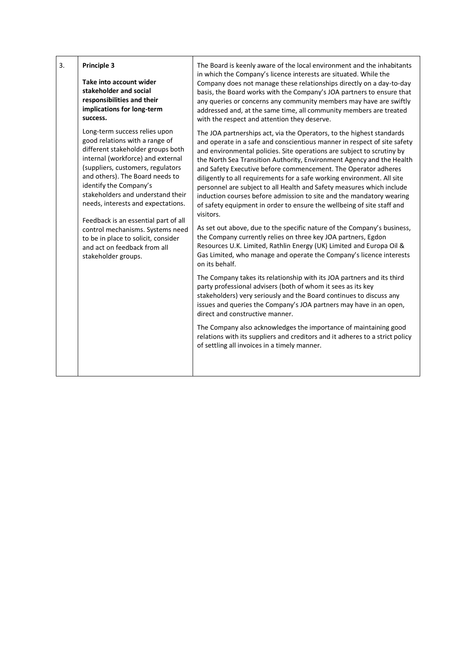| 3. | <b>Principle 3</b><br>Take into account wider<br>stakeholder and social<br>responsibilities and their<br>implications for long-term<br>success.                                                                                                                                                                                                                                                                                                                                                  | The Board is keenly aware of the local environment and the inhabitants<br>in which the Company's licence interests are situated. While the<br>Company does not manage these relationships directly on a day-to-day<br>basis, the Board works with the Company's JOA partners to ensure that<br>any queries or concerns any community members may have are swiftly<br>addressed and, at the same time, all community members are treated<br>with the respect and attention they deserve.                                                                                                                                                                                                                                                                                                                                                                                                                                                                                                                                                                                                                                                                                                                                                                                                                                                                                                                                                                                                                                              |
|----|--------------------------------------------------------------------------------------------------------------------------------------------------------------------------------------------------------------------------------------------------------------------------------------------------------------------------------------------------------------------------------------------------------------------------------------------------------------------------------------------------|--------------------------------------------------------------------------------------------------------------------------------------------------------------------------------------------------------------------------------------------------------------------------------------------------------------------------------------------------------------------------------------------------------------------------------------------------------------------------------------------------------------------------------------------------------------------------------------------------------------------------------------------------------------------------------------------------------------------------------------------------------------------------------------------------------------------------------------------------------------------------------------------------------------------------------------------------------------------------------------------------------------------------------------------------------------------------------------------------------------------------------------------------------------------------------------------------------------------------------------------------------------------------------------------------------------------------------------------------------------------------------------------------------------------------------------------------------------------------------------------------------------------------------------|
|    | Long-term success relies upon<br>good relations with a range of<br>different stakeholder groups both<br>internal (workforce) and external<br>(suppliers, customers, regulators<br>and others). The Board needs to<br>identify the Company's<br>stakeholders and understand their<br>needs, interests and expectations.<br>Feedback is an essential part of all<br>control mechanisms. Systems need<br>to be in place to solicit, consider<br>and act on feedback from all<br>stakeholder groups. | The JOA partnerships act, via the Operators, to the highest standards<br>and operate in a safe and conscientious manner in respect of site safety<br>and environmental policies. Site operations are subject to scrutiny by<br>the North Sea Transition Authority, Environment Agency and the Health<br>and Safety Executive before commencement. The Operator adheres<br>diligently to all requirements for a safe working environment. All site<br>personnel are subject to all Health and Safety measures which include<br>induction courses before admission to site and the mandatory wearing<br>of safety equipment in order to ensure the wellbeing of site staff and<br>visitors.<br>As set out above, due to the specific nature of the Company's business,<br>the Company currently relies on three key JOA partners, Egdon<br>Resources U.K. Limited, Rathlin Energy (UK) Limited and Europa Oil &<br>Gas Limited, who manage and operate the Company's licence interests<br>on its behalf.<br>The Company takes its relationship with its JOA partners and its third<br>party professional advisers (both of whom it sees as its key<br>stakeholders) very seriously and the Board continues to discuss any<br>issues and queries the Company's JOA partners may have in an open,<br>direct and constructive manner.<br>The Company also acknowledges the importance of maintaining good<br>relations with its suppliers and creditors and it adheres to a strict policy<br>of settling all invoices in a timely manner. |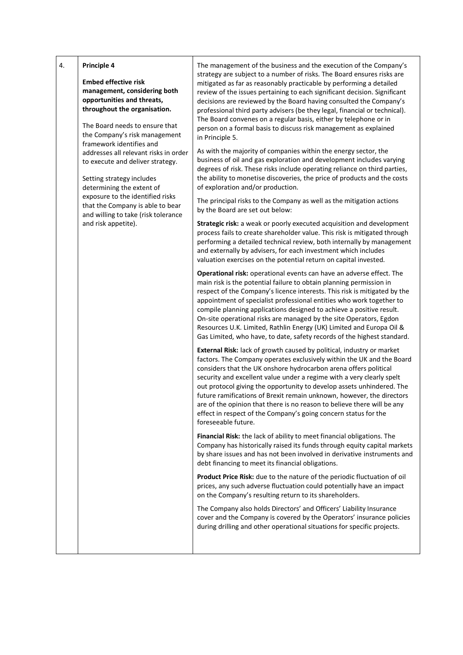| 4. | <b>Embed effective risk</b><br>management, considering both<br>opportunities and threats,<br>throughout the organisation.<br>The Board needs to ensure that<br>the Company's risk management<br>framework identifies and<br>addresses all relevant risks in order<br>to execute and deliver strategy.<br>Setting strategy includes<br>determining the extent of<br>exposure to the identified risks<br>that the Company is able to bear<br>and willing to take (risk tolerance<br>and risk appetite). | The management of the business and the execution of the Company's<br>strategy are subject to a number of risks. The Board ensures risks are<br>mitigated as far as reasonably practicable by performing a detailed<br>review of the issues pertaining to each significant decision. Significant<br>decisions are reviewed by the Board having consulted the Company's<br>professional third party advisers (be they legal, financial or technical).<br>The Board convenes on a regular basis, either by telephone or in<br>person on a formal basis to discuss risk management as explained<br>in Principle 5.<br>As with the majority of companies within the energy sector, the<br>business of oil and gas exploration and development includes varying<br>degrees of risk. These risks include operating reliance on third parties,<br>the ability to monetise discoveries, the price of products and the costs<br>of exploration and/or production.<br>The principal risks to the Company as well as the mitigation actions<br>by the Board are set out below:<br>Strategic risk: a weak or poorly executed acquisition and development<br>process fails to create shareholder value. This risk is mitigated through<br>performing a detailed technical review, both internally by management<br>and externally by advisers, for each investment which includes<br>valuation exercises on the potential return on capital invested.<br>Operational risk: operational events can have an adverse effect. The<br>main risk is the potential failure to obtain planning permission in<br>respect of the Company's licence interests. This risk is mitigated by the<br>appointment of specialist professional entities who work together to<br>compile planning applications designed to achieve a positive result.<br>On-site operational risks are managed by the site Operators, Egdon<br>Resources U.K. Limited, Rathlin Energy (UK) Limited and Europa Oil &<br>Gas Limited, who have, to date, safety records of the highest standard.<br>External Risk: lack of growth caused by political, industry or market<br>factors. The Company operates exclusively within the UK and the Board |
|----|-------------------------------------------------------------------------------------------------------------------------------------------------------------------------------------------------------------------------------------------------------------------------------------------------------------------------------------------------------------------------------------------------------------------------------------------------------------------------------------------------------|------------------------------------------------------------------------------------------------------------------------------------------------------------------------------------------------------------------------------------------------------------------------------------------------------------------------------------------------------------------------------------------------------------------------------------------------------------------------------------------------------------------------------------------------------------------------------------------------------------------------------------------------------------------------------------------------------------------------------------------------------------------------------------------------------------------------------------------------------------------------------------------------------------------------------------------------------------------------------------------------------------------------------------------------------------------------------------------------------------------------------------------------------------------------------------------------------------------------------------------------------------------------------------------------------------------------------------------------------------------------------------------------------------------------------------------------------------------------------------------------------------------------------------------------------------------------------------------------------------------------------------------------------------------------------------------------------------------------------------------------------------------------------------------------------------------------------------------------------------------------------------------------------------------------------------------------------------------------------------------------------------------------------------------------------------------------------------------------------------------------------------------------------------------------------------------------|
|    |                                                                                                                                                                                                                                                                                                                                                                                                                                                                                                       | considers that the UK onshore hydrocarbon arena offers political<br>security and excellent value under a regime with a very clearly spelt<br>out protocol giving the opportunity to develop assets unhindered. The<br>future ramifications of Brexit remain unknown, however, the directors<br>are of the opinion that there is no reason to believe there will be any<br>effect in respect of the Company's going concern status for the<br>foreseeable future.                                                                                                                                                                                                                                                                                                                                                                                                                                                                                                                                                                                                                                                                                                                                                                                                                                                                                                                                                                                                                                                                                                                                                                                                                                                                                                                                                                                                                                                                                                                                                                                                                                                                                                                               |
|    |                                                                                                                                                                                                                                                                                                                                                                                                                                                                                                       | Financial Risk: the lack of ability to meet financial obligations. The<br>Company has historically raised its funds through equity capital markets<br>by share issues and has not been involved in derivative instruments and<br>debt financing to meet its financial obligations.                                                                                                                                                                                                                                                                                                                                                                                                                                                                                                                                                                                                                                                                                                                                                                                                                                                                                                                                                                                                                                                                                                                                                                                                                                                                                                                                                                                                                                                                                                                                                                                                                                                                                                                                                                                                                                                                                                             |
|    |                                                                                                                                                                                                                                                                                                                                                                                                                                                                                                       | Product Price Risk: due to the nature of the periodic fluctuation of oil<br>prices, any such adverse fluctuation could potentially have an impact<br>on the Company's resulting return to its shareholders.                                                                                                                                                                                                                                                                                                                                                                                                                                                                                                                                                                                                                                                                                                                                                                                                                                                                                                                                                                                                                                                                                                                                                                                                                                                                                                                                                                                                                                                                                                                                                                                                                                                                                                                                                                                                                                                                                                                                                                                    |
|    |                                                                                                                                                                                                                                                                                                                                                                                                                                                                                                       | The Company also holds Directors' and Officers' Liability Insurance<br>cover and the Company is covered by the Operators' insurance policies<br>during drilling and other operational situations for specific projects.                                                                                                                                                                                                                                                                                                                                                                                                                                                                                                                                                                                                                                                                                                                                                                                                                                                                                                                                                                                                                                                                                                                                                                                                                                                                                                                                                                                                                                                                                                                                                                                                                                                                                                                                                                                                                                                                                                                                                                        |
|    |                                                                                                                                                                                                                                                                                                                                                                                                                                                                                                       |                                                                                                                                                                                                                                                                                                                                                                                                                                                                                                                                                                                                                                                                                                                                                                                                                                                                                                                                                                                                                                                                                                                                                                                                                                                                                                                                                                                                                                                                                                                                                                                                                                                                                                                                                                                                                                                                                                                                                                                                                                                                                                                                                                                                |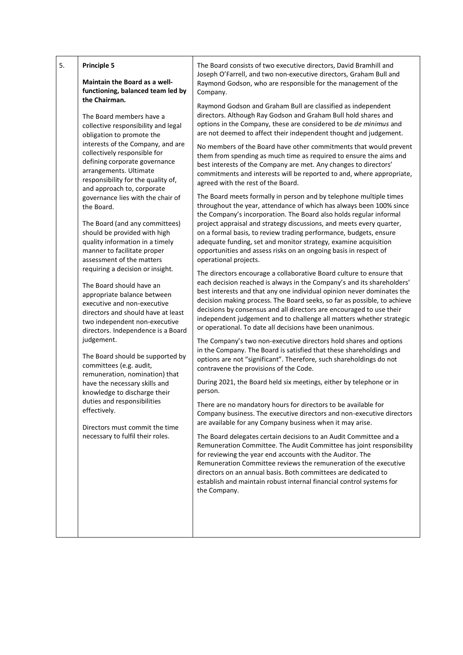| 5. | Principle 5                                                                                                                                                                                                                                                                                                                                                                                                                                                                                                                                                                                                                                                                                                                                                                                                                                                                                                                                                                                                                                                                                                                                                 | The Board consists of two executive directors, David Bramhill and                                                                                                                                                                                                                                                                                                                                                                                                                                                                                                                                                                                                                                                                                                                                                                                                                                                                                                                                                                                                                                                                                                                                                                                                                                                                                                                                                                                                                                                                                                                                                                                                                                                                                                                                                                                                                                                                                                                                                                                                                                                                                                                                                                                                                                                                                                                                                                                                                                                                                                                                                                                                                                                                                                                                              |
|----|-------------------------------------------------------------------------------------------------------------------------------------------------------------------------------------------------------------------------------------------------------------------------------------------------------------------------------------------------------------------------------------------------------------------------------------------------------------------------------------------------------------------------------------------------------------------------------------------------------------------------------------------------------------------------------------------------------------------------------------------------------------------------------------------------------------------------------------------------------------------------------------------------------------------------------------------------------------------------------------------------------------------------------------------------------------------------------------------------------------------------------------------------------------|----------------------------------------------------------------------------------------------------------------------------------------------------------------------------------------------------------------------------------------------------------------------------------------------------------------------------------------------------------------------------------------------------------------------------------------------------------------------------------------------------------------------------------------------------------------------------------------------------------------------------------------------------------------------------------------------------------------------------------------------------------------------------------------------------------------------------------------------------------------------------------------------------------------------------------------------------------------------------------------------------------------------------------------------------------------------------------------------------------------------------------------------------------------------------------------------------------------------------------------------------------------------------------------------------------------------------------------------------------------------------------------------------------------------------------------------------------------------------------------------------------------------------------------------------------------------------------------------------------------------------------------------------------------------------------------------------------------------------------------------------------------------------------------------------------------------------------------------------------------------------------------------------------------------------------------------------------------------------------------------------------------------------------------------------------------------------------------------------------------------------------------------------------------------------------------------------------------------------------------------------------------------------------------------------------------------------------------------------------------------------------------------------------------------------------------------------------------------------------------------------------------------------------------------------------------------------------------------------------------------------------------------------------------------------------------------------------------------------------------------------------------------------------------------------------------|
|    | Maintain the Board as a well-<br>functioning, balanced team led by<br>the Chairman.<br>The Board members have a<br>collective responsibility and legal<br>obligation to promote the<br>interests of the Company, and are<br>collectively responsible for<br>defining corporate governance<br>arrangements. Ultimate<br>responsibility for the quality of,<br>and approach to, corporate<br>governance lies with the chair of<br>the Board.<br>The Board (and any committees)<br>should be provided with high<br>quality information in a timely<br>manner to facilitate proper<br>assessment of the matters<br>requiring a decision or insight.<br>The Board should have an<br>appropriate balance between<br>executive and non-executive<br>directors and should have at least<br>two independent non-executive<br>directors. Independence is a Board<br>judgement.<br>The Board should be supported by<br>committees (e.g. audit,<br>remuneration, nomination) that<br>have the necessary skills and<br>knowledge to discharge their<br>duties and responsibilities<br>effectively.<br>Directors must commit the time<br>necessary to fulfil their roles. | Joseph O'Farrell, and two non-executive directors, Graham Bull and<br>Raymond Godson, who are responsible for the management of the<br>Company.<br>Raymond Godson and Graham Bull are classified as independent<br>directors. Although Ray Godson and Graham Bull hold shares and<br>options in the Company, these are considered to be de minimus and<br>are not deemed to affect their independent thought and judgement.<br>No members of the Board have other commitments that would prevent<br>them from spending as much time as required to ensure the aims and<br>best interests of the Company are met. Any changes to directors'<br>commitments and interests will be reported to and, where appropriate,<br>agreed with the rest of the Board.<br>The Board meets formally in person and by telephone multiple times<br>throughout the year, attendance of which has always been 100% since<br>the Company's incorporation. The Board also holds regular informal<br>project appraisal and strategy discussions, and meets every quarter,<br>on a formal basis, to review trading performance, budgets, ensure<br>adequate funding, set and monitor strategy, examine acquisition<br>opportunities and assess risks on an ongoing basis in respect of<br>operational projects.<br>The directors encourage a collaborative Board culture to ensure that<br>each decision reached is always in the Company's and its shareholders'<br>best interests and that any one individual opinion never dominates the<br>decision making process. The Board seeks, so far as possible, to achieve<br>decisions by consensus and all directors are encouraged to use their<br>independent judgement and to challenge all matters whether strategic<br>or operational. To date all decisions have been unanimous.<br>The Company's two non-executive directors hold shares and options<br>in the Company. The Board is satisfied that these shareholdings and<br>options are not "significant". Therefore, such shareholdings do not<br>contravene the provisions of the Code.<br>During 2021, the Board held six meetings, either by telephone or in<br>person.<br>There are no mandatory hours for directors to be available for<br>Company business. The executive directors and non-executive directors<br>are available for any Company business when it may arise.<br>The Board delegates certain decisions to an Audit Committee and a<br>Remuneration Committee. The Audit Committee has joint responsibility<br>for reviewing the year end accounts with the Auditor. The<br>Remuneration Committee reviews the remuneration of the executive<br>directors on an annual basis. Both committees are dedicated to<br>establish and maintain robust internal financial control systems for<br>the Company. |
|    |                                                                                                                                                                                                                                                                                                                                                                                                                                                                                                                                                                                                                                                                                                                                                                                                                                                                                                                                                                                                                                                                                                                                                             |                                                                                                                                                                                                                                                                                                                                                                                                                                                                                                                                                                                                                                                                                                                                                                                                                                                                                                                                                                                                                                                                                                                                                                                                                                                                                                                                                                                                                                                                                                                                                                                                                                                                                                                                                                                                                                                                                                                                                                                                                                                                                                                                                                                                                                                                                                                                                                                                                                                                                                                                                                                                                                                                                                                                                                                                                |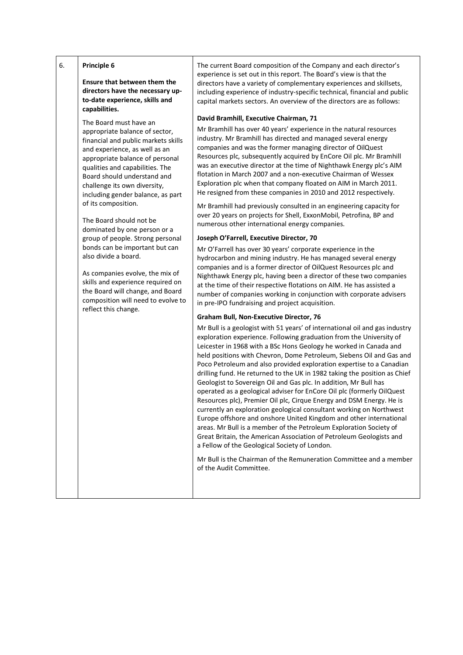| Principle 6 |
|-------------|
|             |

**Ensure that between them the directors have the necessary upto-date experience, skills and capabilities.**

The Board must have an appropriate balance of sector, financial and public markets skills and experience, as well as an appropriate balance of personal qualities and capabilities. The Board should understand and challenge its own diversity, including gender balance, as part of its composition.

The Board should not be dominated by one person or a group of people. Strong personal bonds can be important but can also divide a board.

As companies evolve, the mix of skills and experience required on the Board will change, and Board composition will need to evolve to reflect this change.

The current Board composition of the Company and each director's experience is set out in this report. The Board's view is that the directors have a variety of complementary experiences and skillsets, including experience of industry-specific technical, financial and public capital markets sectors. An overview of the directors are as follows:

#### **David Bramhill, Executive Chairman, 71**

Mr Bramhill has over 40 years' experience in the natural resources industry. Mr Bramhill has directed and managed several energy companies and was the former managing director of OilQuest Resources plc, subsequently acquired by EnCore Oil plc. Mr Bramhill was an executive director at the time of Nighthawk Energy plc's AIM flotation in March 2007 and a non-executive Chairman of Wessex Exploration plc when that company floated on AIM in March 2011. He resigned from these companies in 2010 and 2012 respectively.

Mr Bramhill had previously consulted in an engineering capacity for over 20 years on projects for Shell, ExxonMobil, Petrofina, BP and numerous other international energy companies.

## **Joseph O'Farrell, Executive Director, 70**

Mr O'Farrell has over 30 years' corporate experience in the hydrocarbon and mining industry. He has managed several energy companies and is a former director of OilQuest Resources plc and Nighthawk Energy plc, having been a director of these two companies at the time of their respective flotations on AIM. He has assisted a number of companies working in conjunction with corporate advisers in pre-IPO fundraising and project acquisition.

### **Graham Bull, Non-Executive Director, 76**

Mr Bull is a geologist with 51 years' of international oil and gas industry exploration experience. Following graduation from the University of Leicester in 1968 with a BSc Hons Geology he worked in Canada and held positions with Chevron, Dome Petroleum, Siebens Oil and Gas and Poco Petroleum and also provided exploration expertise to a Canadian drilling fund. He returned to the UK in 1982 taking the position as Chief Geologist to Sovereign Oil and Gas plc. In addition, Mr Bull has operated as a geological adviser for EnCore Oil plc (formerly OilQuest Resources plc), Premier Oil plc, Cirque Energy and DSM Energy. He is currently an exploration geological consultant working on Northwest Europe offshore and onshore United Kingdom and other international areas. Mr Bull is a member of the Petroleum Exploration Society of Great Britain, the American Association of Petroleum Geologists and a Fellow of the Geological Society of London.

Mr Bull is the Chairman of the Remuneration Committee and a member of the Audit Committee.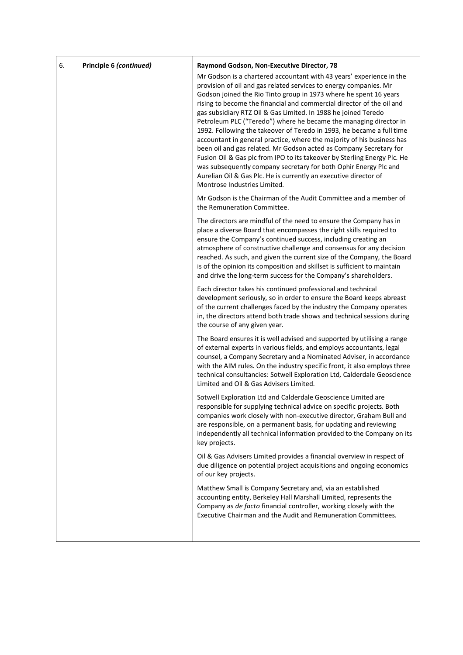| 6. | Principle 6 (continued) | Raymond Godson, Non-Executive Director, 78                                                                                                                                                                                                                                                                                                                                                                                                                                                                                                                                                                                                                                                                                                                                                                                                                                                                  |
|----|-------------------------|-------------------------------------------------------------------------------------------------------------------------------------------------------------------------------------------------------------------------------------------------------------------------------------------------------------------------------------------------------------------------------------------------------------------------------------------------------------------------------------------------------------------------------------------------------------------------------------------------------------------------------------------------------------------------------------------------------------------------------------------------------------------------------------------------------------------------------------------------------------------------------------------------------------|
|    |                         | Mr Godson is a chartered accountant with 43 years' experience in the<br>provision of oil and gas related services to energy companies. Mr<br>Godson joined the Rio Tinto group in 1973 where he spent 16 years<br>rising to become the financial and commercial director of the oil and<br>gas subsidiary RTZ Oil & Gas Limited. In 1988 he joined Teredo<br>Petroleum PLC ("Teredo") where he became the managing director in<br>1992. Following the takeover of Teredo in 1993, he became a full time<br>accountant in general practice, where the majority of his business has<br>been oil and gas related. Mr Godson acted as Company Secretary for<br>Fusion Oil & Gas plc from IPO to its takeover by Sterling Energy Plc. He<br>was subsequently company secretary for both Ophir Energy Plc and<br>Aurelian Oil & Gas Plc. He is currently an executive director of<br>Montrose Industries Limited. |
|    |                         | Mr Godson is the Chairman of the Audit Committee and a member of<br>the Remuneration Committee.                                                                                                                                                                                                                                                                                                                                                                                                                                                                                                                                                                                                                                                                                                                                                                                                             |
|    |                         | The directors are mindful of the need to ensure the Company has in<br>place a diverse Board that encompasses the right skills required to<br>ensure the Company's continued success, including creating an<br>atmosphere of constructive challenge and consensus for any decision<br>reached. As such, and given the current size of the Company, the Board<br>is of the opinion its composition and skillset is sufficient to maintain<br>and drive the long-term success for the Company's shareholders.                                                                                                                                                                                                                                                                                                                                                                                                  |
|    |                         | Each director takes his continued professional and technical<br>development seriously, so in order to ensure the Board keeps abreast<br>of the current challenges faced by the industry the Company operates<br>in, the directors attend both trade shows and technical sessions during<br>the course of any given year.                                                                                                                                                                                                                                                                                                                                                                                                                                                                                                                                                                                    |
|    |                         | The Board ensures it is well advised and supported by utilising a range<br>of external experts in various fields, and employs accountants, legal<br>counsel, a Company Secretary and a Nominated Adviser, in accordance<br>with the AIM rules. On the industry specific front, it also employs three<br>technical consultancies: Sotwell Exploration Ltd, Calderdale Geoscience<br>Limited and Oil & Gas Advisers Limited.                                                                                                                                                                                                                                                                                                                                                                                                                                                                                  |
|    |                         | Sotwell Exploration Ltd and Calderdale Geoscience Limited are<br>responsible for supplying technical advice on specific projects. Both<br>companies work closely with non-executive director, Graham Bull and<br>are responsible, on a permanent basis, for updating and reviewing<br>independently all technical information provided to the Company on its<br>key projects.                                                                                                                                                                                                                                                                                                                                                                                                                                                                                                                               |
|    |                         | Oil & Gas Advisers Limited provides a financial overview in respect of<br>due diligence on potential project acquisitions and ongoing economics<br>of our key projects.                                                                                                                                                                                                                                                                                                                                                                                                                                                                                                                                                                                                                                                                                                                                     |
|    |                         | Matthew Small is Company Secretary and, via an established<br>accounting entity, Berkeley Hall Marshall Limited, represents the<br>Company as de facto financial controller, working closely with the<br>Executive Chairman and the Audit and Remuneration Committees.                                                                                                                                                                                                                                                                                                                                                                                                                                                                                                                                                                                                                                      |
|    |                         |                                                                                                                                                                                                                                                                                                                                                                                                                                                                                                                                                                                                                                                                                                                                                                                                                                                                                                             |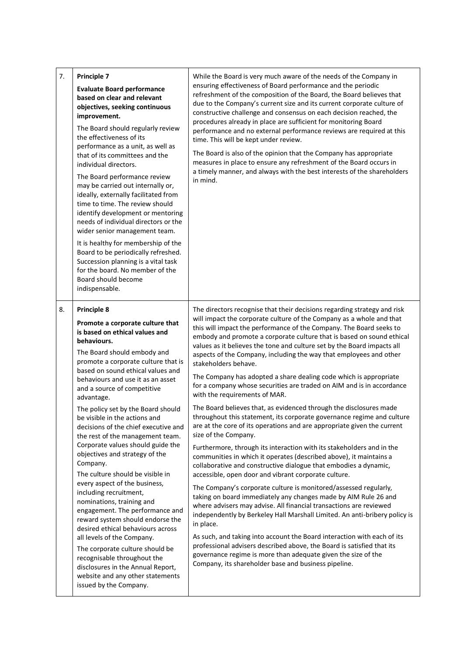| 7.<br>Principle 7<br><b>Evaluate Board performance</b><br>based on clear and relevant<br>objectives, seeking continuous<br>improvement.<br>The Board should regularly review<br>the effectiveness of its<br>performance as a unit, as well as<br>that of its committees and the<br>individual directors.<br>The Board performance review<br>may be carried out internally or,<br>ideally, externally facilitated from<br>time to time. The review should<br>identify development or mentoring<br>needs of individual directors or the<br>wider senior management team.<br>It is healthy for membership of the<br>Board to be periodically refreshed.<br>Succession planning is a vital task<br>for the board. No member of the<br>Board should become<br>indispensable.                                                                                                                                                                                                                     | While the Board is very much aware of the needs of the Company in<br>ensuring effectiveness of Board performance and the periodic<br>refreshment of the composition of the Board, the Board believes that<br>due to the Company's current size and its current corporate culture of<br>constructive challenge and consensus on each decision reached, the<br>procedures already in place are sufficient for monitoring Board<br>performance and no external performance reviews are required at this<br>time. This will be kept under review.<br>The Board is also of the opinion that the Company has appropriate<br>measures in place to ensure any refreshment of the Board occurs in<br>a timely manner, and always with the best interests of the shareholders<br>in mind.                                                                                                                                                                                                                                                                                                                                                                                                                                                                                                                                                                                                                                                                                                                                                                                                                                                                                                                                                                                              |
|---------------------------------------------------------------------------------------------------------------------------------------------------------------------------------------------------------------------------------------------------------------------------------------------------------------------------------------------------------------------------------------------------------------------------------------------------------------------------------------------------------------------------------------------------------------------------------------------------------------------------------------------------------------------------------------------------------------------------------------------------------------------------------------------------------------------------------------------------------------------------------------------------------------------------------------------------------------------------------------------|------------------------------------------------------------------------------------------------------------------------------------------------------------------------------------------------------------------------------------------------------------------------------------------------------------------------------------------------------------------------------------------------------------------------------------------------------------------------------------------------------------------------------------------------------------------------------------------------------------------------------------------------------------------------------------------------------------------------------------------------------------------------------------------------------------------------------------------------------------------------------------------------------------------------------------------------------------------------------------------------------------------------------------------------------------------------------------------------------------------------------------------------------------------------------------------------------------------------------------------------------------------------------------------------------------------------------------------------------------------------------------------------------------------------------------------------------------------------------------------------------------------------------------------------------------------------------------------------------------------------------------------------------------------------------------------------------------------------------------------------------------------------------|
| <b>Principle 8</b><br>8.<br>Promote a corporate culture that<br>is based on ethical values and<br>behaviours.<br>The Board should embody and<br>promote a corporate culture that is<br>based on sound ethical values and<br>behaviours and use it as an asset<br>and a source of competitive<br>advantage.<br>The policy set by the Board should<br>be visible in the actions and<br>decisions of the chief executive and<br>the rest of the management team.<br>Corporate values should guide the<br>objectives and strategy of the<br>Company.<br>The culture should be visible in<br>every aspect of the business,<br>including recruitment,<br>nominations, training and<br>engagement. The performance and<br>reward system should endorse the<br>desired ethical behaviours across<br>all levels of the Company.<br>The corporate culture should be<br>recognisable throughout the<br>disclosures in the Annual Report,<br>website and any other statements<br>issued by the Company. | The directors recognise that their decisions regarding strategy and risk<br>will impact the corporate culture of the Company as a whole and that<br>this will impact the performance of the Company. The Board seeks to<br>embody and promote a corporate culture that is based on sound ethical<br>values as it believes the tone and culture set by the Board impacts all<br>aspects of the Company, including the way that employees and other<br>stakeholders behave.<br>The Company has adopted a share dealing code which is appropriate<br>for a company whose securities are traded on AIM and is in accordance<br>with the requirements of MAR.<br>The Board believes that, as evidenced through the disclosures made<br>throughout this statement, its corporate governance regime and culture<br>are at the core of its operations and are appropriate given the current<br>size of the Company.<br>Furthermore, through its interaction with its stakeholders and in the<br>communities in which it operates (described above), it maintains a<br>collaborative and constructive dialogue that embodies a dynamic,<br>accessible, open door and vibrant corporate culture.<br>The Company's corporate culture is monitored/assessed regularly,<br>taking on board immediately any changes made by AIM Rule 26 and<br>where advisers may advise. All financial transactions are reviewed<br>independently by Berkeley Hall Marshall Limited. An anti-bribery policy is<br>in place.<br>As such, and taking into account the Board interaction with each of its<br>professional advisers described above, the Board is satisfied that its<br>governance regime is more than adequate given the size of the<br>Company, its shareholder base and business pipeline. |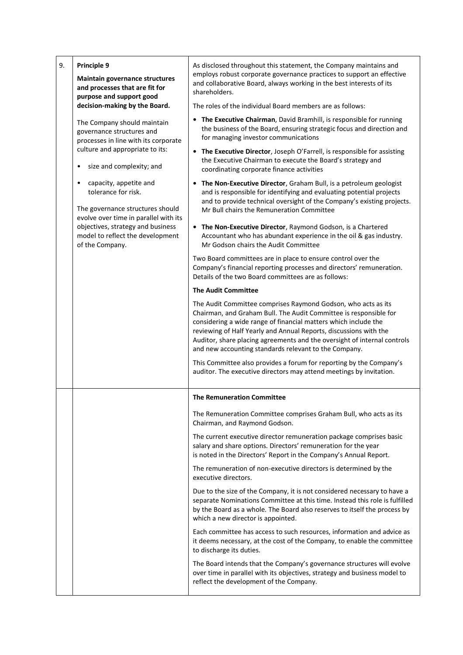| 9. | Principle 9<br><b>Maintain governance structures</b><br>and processes that are fit for<br>purpose and support good                                                                                                                  | As disclosed throughout this statement, the Company maintains and<br>employs robust corporate governance practices to support an effective<br>and collaborative Board, always working in the best interests of its<br>shareholders.                                                                                                                                                                             |
|----|-------------------------------------------------------------------------------------------------------------------------------------------------------------------------------------------------------------------------------------|-----------------------------------------------------------------------------------------------------------------------------------------------------------------------------------------------------------------------------------------------------------------------------------------------------------------------------------------------------------------------------------------------------------------|
|    | decision-making by the Board.                                                                                                                                                                                                       | The roles of the individual Board members are as follows:                                                                                                                                                                                                                                                                                                                                                       |
|    | The Company should maintain<br>governance structures and<br>processes in line with its corporate<br>culture and appropriate to its:                                                                                                 | • The Executive Chairman, David Bramhill, is responsible for running<br>the business of the Board, ensuring strategic focus and direction and<br>for managing investor communications                                                                                                                                                                                                                           |
|    | size and complexity; and<br>$\bullet$                                                                                                                                                                                               | • The Executive Director, Joseph O'Farrell, is responsible for assisting<br>the Executive Chairman to execute the Board's strategy and<br>coordinating corporate finance activities                                                                                                                                                                                                                             |
|    | capacity, appetite and<br>$\bullet$<br>tolerance for risk.<br>The governance structures should<br>evolve over time in parallel with its<br>objectives, strategy and business<br>model to reflect the development<br>of the Company. | The Non-Executive Director, Graham Bull, is a petroleum geologist<br>and is responsible for identifying and evaluating potential projects<br>and to provide technical oversight of the Company's existing projects.<br>Mr Bull chairs the Remuneration Committee                                                                                                                                                |
|    |                                                                                                                                                                                                                                     | • The Non-Executive Director, Raymond Godson, is a Chartered<br>Accountant who has abundant experience in the oil & gas industry.<br>Mr Godson chairs the Audit Committee                                                                                                                                                                                                                                       |
|    |                                                                                                                                                                                                                                     | Two Board committees are in place to ensure control over the<br>Company's financial reporting processes and directors' remuneration.<br>Details of the two Board committees are as follows:                                                                                                                                                                                                                     |
|    |                                                                                                                                                                                                                                     | <b>The Audit Committee</b>                                                                                                                                                                                                                                                                                                                                                                                      |
|    |                                                                                                                                                                                                                                     | The Audit Committee comprises Raymond Godson, who acts as its<br>Chairman, and Graham Bull. The Audit Committee is responsible for<br>considering a wide range of financial matters which include the<br>reviewing of Half Yearly and Annual Reports, discussions with the<br>Auditor, share placing agreements and the oversight of internal controls<br>and new accounting standards relevant to the Company. |
|    |                                                                                                                                                                                                                                     | This Committee also provides a forum for reporting by the Company's<br>auditor. The executive directors may attend meetings by invitation.                                                                                                                                                                                                                                                                      |
|    |                                                                                                                                                                                                                                     | <b>The Remuneration Committee</b>                                                                                                                                                                                                                                                                                                                                                                               |
|    |                                                                                                                                                                                                                                     | The Remuneration Committee comprises Graham Bull, who acts as its<br>Chairman, and Raymond Godson.                                                                                                                                                                                                                                                                                                              |
|    |                                                                                                                                                                                                                                     | The current executive director remuneration package comprises basic<br>salary and share options. Directors' remuneration for the year<br>is noted in the Directors' Report in the Company's Annual Report.                                                                                                                                                                                                      |
|    |                                                                                                                                                                                                                                     | The remuneration of non-executive directors is determined by the<br>executive directors.                                                                                                                                                                                                                                                                                                                        |
|    |                                                                                                                                                                                                                                     | Due to the size of the Company, it is not considered necessary to have a<br>separate Nominations Committee at this time. Instead this role is fulfilled<br>by the Board as a whole. The Board also reserves to itself the process by<br>which a new director is appointed.                                                                                                                                      |
|    |                                                                                                                                                                                                                                     | Each committee has access to such resources, information and advice as<br>it deems necessary, at the cost of the Company, to enable the committee<br>to discharge its duties.                                                                                                                                                                                                                                   |
|    |                                                                                                                                                                                                                                     | The Board intends that the Company's governance structures will evolve<br>over time in parallel with its objectives, strategy and business model to<br>reflect the development of the Company.                                                                                                                                                                                                                  |